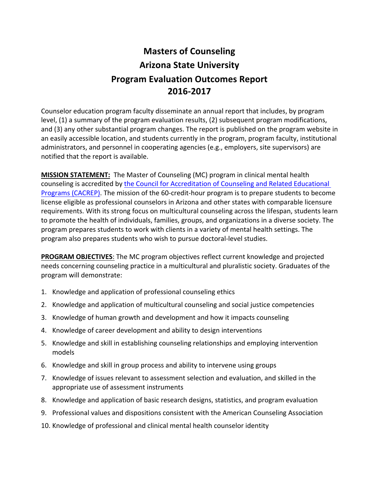# **Masters of Counseling Arizona State University Program Evaluation Outcomes Report 2016-2017**

Counselor education program faculty disseminate an annual report that includes, by program level,  $(1)$  a summary of the program evaluation results,  $(2)$  subsequent program modifications, and (3) any other substantial program changes. The report is published on the program website in an easily accessible location, and students currently in the program, program faculty, institutional administrators, and personnel in cooperating agencies (e.g., employers, site supervisors) are notified that the report is available.

**MISSION STATEMENT:** The Master of Counseling (MC) program in clinical mental health counseling is accredited by the Council for Accreditation of Counseling and Related Educational Programs (CACREP). The mission of the 60-credit-hour program is to prepare students to become license eligible as professional counselors in Arizona and other states with comparable licensure requirements. With its strong focus on multicultural counseling across the lifespan, students learn to promote the health of individuals, families, groups, and organizations in a diverse society. The program prepares students to work with clients in a variety of mental health settings. The program also prepares students who wish to pursue doctoral-level studies.

**PROGRAM OBJECTIVES:** The MC program objectives reflect current knowledge and projected needs concerning counseling practice in a multicultural and pluralistic society. Graduates of the program will demonstrate:

- 1. Knowledge and application of professional counseling ethics
- 2. Knowledge and application of multicultural counseling and social justice competencies
- 3. Knowledge of human growth and development and how it impacts counseling
- 4. Knowledge of career development and ability to design interventions
- 5. Knowledge and skill in establishing counseling relationships and employing intervention models
- 6. Knowledge and skill in group process and ability to intervene using groups
- 7. Knowledge of issues relevant to assessment selection and evaluation, and skilled in the appropriate use of assessment instruments
- 8. Knowledge and application of basic research designs, statistics, and program evaluation
- 9. Professional values and dispositions consistent with the American Counseling Association
- 10. Knowledge of professional and clinical mental health counselor identity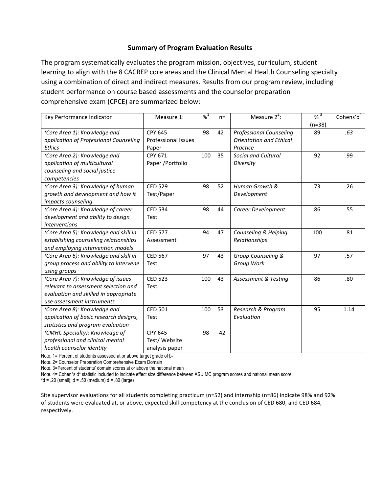# **Summary of Program Evaluation Results**

The program systematically evaluates the program mission, objectives, curriculum, student learning to align with the 8 CACREP core areas and the Clinical Mental Health Counseling specialty using a combination of direct and indirect measures. Results from our program review, including student performance on course based assessments and the counselor preparation comprehensive exam (CPCE) are summarized below:

| Key Performance Indicator              | Measure 1:                 | $% ^{1}$ | $n =$ | Measure $2^2$ :                 | $% ^{3}$ | Cohens'd <sup>4</sup> |
|----------------------------------------|----------------------------|----------|-------|---------------------------------|----------|-----------------------|
|                                        |                            |          |       |                                 | $(n=38)$ |                       |
| (Core Area 1): Knowledge and           | <b>CPY 645</b>             | 98       | 42    | <b>Professional Counseling</b>  | 89       | .63                   |
| application of Professional Counseling | <b>Professional Issues</b> |          |       | <b>Orientation and Ethical</b>  |          |                       |
| <b>Ethics</b>                          | Paper                      |          |       | Practice                        |          |                       |
| (Core Area 2): Knowledge and           | CPY 671                    | 100      | 35    | Social and Cultural             | 92       | .99                   |
| application of multicultural           | Paper / Portfolio          |          |       | Diversity                       |          |                       |
| counseling and social justice          |                            |          |       |                                 |          |                       |
| competencies                           |                            |          |       |                                 |          |                       |
| (Core Area 3): Knowledge of human      | <b>CED 529</b>             | 98       | 52    | Human Growth &                  | 73       | .26                   |
| growth and development and how it      | Test/Paper                 |          |       | Development                     |          |                       |
| impacts counseling                     |                            |          |       |                                 |          |                       |
| (Core Area 4): Knowledge of career     | <b>CED 534</b>             | 98       | 44    | Career Development              | 86       | .55                   |
| development and ability to design      | Test                       |          |       |                                 |          |                       |
| <i>interventions</i>                   |                            |          |       |                                 |          |                       |
| (Core Area 5): Knowledge and skill in  | <b>CED 577</b>             | 94       | 47    | Counseling & Helping            | 100      | .81                   |
| establishing counseling relationships  | Assessment                 |          |       | Relationships                   |          |                       |
| and employing intervention models      |                            |          |       |                                 |          |                       |
| (Core Area 6): Knowledge and skill in  | <b>CED 567</b>             | 97       | 43    | Group Counseling &              | 97       | .57                   |
| group process and ability to intervene | Test                       |          |       | Group Work                      |          |                       |
| using groups                           |                            |          |       |                                 |          |                       |
| (Core Area 7): Knowledge of issues     | <b>CED 523</b>             | 100      | 43    | <b>Assessment &amp; Testing</b> | 86       | .80                   |
| relevant to assessment selection and   | Test                       |          |       |                                 |          |                       |
| evaluation and skilled in appropriate  |                            |          |       |                                 |          |                       |
| use assessment instruments             |                            |          |       |                                 |          |                       |
| (Core Area 8): Knowledge and           | <b>CED 501</b>             | 100      | 53    | Research & Program              | 95       | 1.14                  |
| application of basic research designs, | Test                       |          |       | Evaluation                      |          |                       |
| statistics and program evaluation      |                            |          |       |                                 |          |                       |
| (CMHC Specialty): Knowledge of         | <b>CPY 645</b>             | 98       | 42    |                                 |          |                       |
| professional and clinical mental       | Test/Website               |          |       |                                 |          |                       |
| health counselor identity              | analysis paper             |          |       |                                 |          |                       |

Note. 1= Percent of students assessed at or above target grade of b-

Note. 2= Counselor Preparation Comprehensive Exam Domain

Note. 3=Percent of students' domain scores at or above the national mean

Note. 4= Cohen's d\* statistic included to indicate effect size difference between ASU MC program scores and national mean score.

 $*d = .20$  (small);  $d = .50$  (medium)  $d = .80$  (large)

Site supervisor evaluations for all students completing practicum (n=52) and internship (n=86) indicate 98% and 92% of students were evaluated at, or above, expected skill competency at the conclusion of CED 680, and CED 684, respectively.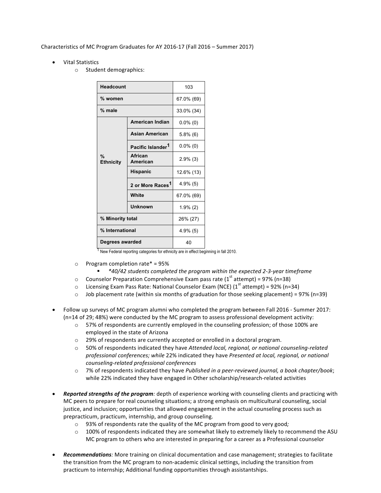# Characteristics of MC Program Graduates for AY 2016-17 (Fall 2016 – Summer 2017)

- **Vital Statistics** 
	- o Student demographics:

| <b>Headcount</b>                  | 103                           |             |  |
|-----------------------------------|-------------------------------|-------------|--|
| % women                           |                               | 67.0% (69)  |  |
| % male                            |                               | 33.0% (34)  |  |
| $\frac{9}{6}$<br><b>Ethnicity</b> | American Indian               | $0.0\%$ (0) |  |
|                                   | <b>Asian American</b>         | $5.8\%$ (6) |  |
|                                   | Pacific Islander <sup>1</sup> | $0.0\%$ (0) |  |
|                                   | African<br>American           | $2.9\%$ (3) |  |
|                                   | <b>Hispanic</b>               | 12.6% (13)  |  |
|                                   | 2 or More Races <sup>1</sup>  | $4.9\%$ (5) |  |
|                                   | White                         | 67.0% (69)  |  |
|                                   | Unknown                       | $1.9\%$ (2) |  |
| % Minority total                  |                               | 26% (27)    |  |
| % International                   |                               | 4.9% (5)    |  |
| Degrees awarded                   |                               | 40          |  |

<sup>1</sup> New Federal reporting categories for ethnicity are in effect beginning in fall 2010.

- $\circ$  Program completion rate\* = 95%
	- § *\*40/42 students completed the program within the expected 2-3-year timeframe*
- $\circ$  Counselor Preparation Comprehensive Exam pass rate (1<sup>st</sup> attempt) = 97% (n=38)
- $\circ$  Licensing Exam Pass Rate: National Counselor Exam (NCE) (1<sup>st</sup> attempt) = 92% (n=34)
- $\circ$  Job placement rate (within six months of graduation for those seeking placement) = 97% (n=39)
- Follow up surveys of MC program alumni who completed the program between Fall 2016 Summer 2017:  $(n=14 of 29; 48%)$  were conducted by the MC program to assess professional development activity:
	- $\circ$  57% of respondents are currently employed in the counseling profession; of those 100% are employed in the state of Arizona
	- $\circ$  29% of respondents are currently accepted or enrolled in a doctoral program.
	- $\circ$  50% of respondents indicated they have Attended local, regional, or national counseling-related professional conferences; while 22% indicated they have Presented at local, regional, or national *counseling-related professional conferences*
	- $\circ$  7% of respondents indicated they have *Published in a peer-reviewed journal, a book chapter/book*; while 22% indicated they have engaged in Other scholarship/research-related activities
- Reported strengths of the program: depth of experience working with counseling clients and practicing with MC peers to prepare for real counseling situations; a strong emphasis on multicultural counseling, social justice, and inclusion; opportunities that allowed engagement in the actual counseling process such as prepracticum, practicum, internship, and group counseling.
	- o 93% of respondents rate the quality of the MC program from good to very good;
	- $\circ$  100% of respondents indicated they are somewhat likely to extremely likely to recommend the ASU MC program to others who are interested in preparing for a career as a Professional counselor
- **Recommendations**: More training on clinical documentation and case management; strategies to facilitate the transition from the MC program to non-academic clinical settings, including the transition from practicum to internship; Additional funding opportunities through assistantships.